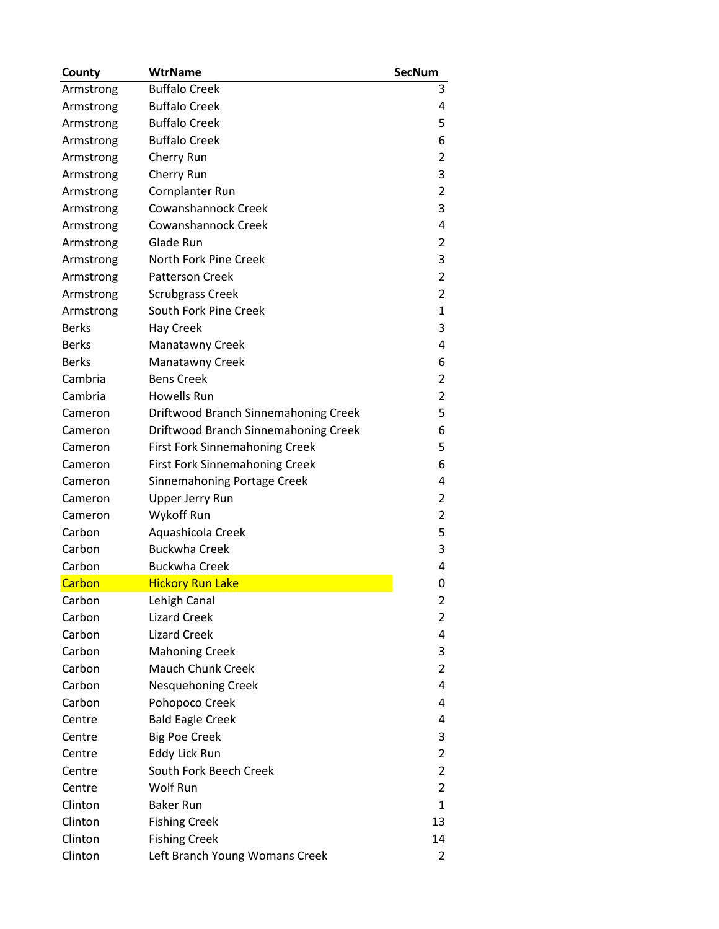| County       | <b>WtrName</b>                        | <b>SecNum</b>  |
|--------------|---------------------------------------|----------------|
| Armstrong    | <b>Buffalo Creek</b>                  | 3              |
| Armstrong    | <b>Buffalo Creek</b>                  | 4              |
| Armstrong    | <b>Buffalo Creek</b>                  | 5              |
| Armstrong    | <b>Buffalo Creek</b>                  | 6              |
| Armstrong    | Cherry Run                            | 2              |
| Armstrong    | Cherry Run                            | 3              |
| Armstrong    | Cornplanter Run                       | 2              |
| Armstrong    | Cowanshannock Creek                   | 3              |
| Armstrong    | Cowanshannock Creek                   | 4              |
| Armstrong    | Glade Run                             | 2              |
| Armstrong    | North Fork Pine Creek                 | 3              |
| Armstrong    | <b>Patterson Creek</b>                | $\overline{2}$ |
| Armstrong    | <b>Scrubgrass Creek</b>               | 2              |
| Armstrong    | South Fork Pine Creek                 | 1              |
| <b>Berks</b> | Hay Creek                             | 3              |
| <b>Berks</b> | <b>Manatawny Creek</b>                | 4              |
| <b>Berks</b> | Manatawny Creek                       | 6              |
| Cambria      | <b>Bens Creek</b>                     | 2              |
| Cambria      | Howells Run                           | 2              |
| Cameron      | Driftwood Branch Sinnemahoning Creek  | 5              |
| Cameron      | Driftwood Branch Sinnemahoning Creek  | 6              |
| Cameron      | <b>First Fork Sinnemahoning Creek</b> | 5              |
| Cameron      | <b>First Fork Sinnemahoning Creek</b> | 6              |
| Cameron      | Sinnemahoning Portage Creek           | 4              |
| Cameron      | Upper Jerry Run                       | 2              |
| Cameron      | Wykoff Run                            | $\overline{2}$ |
| Carbon       | Aquashicola Creek                     | 5              |
| Carbon       | <b>Buckwha Creek</b>                  | 3              |
| Carbon       | <b>Buckwha Creek</b>                  | 4              |
| Carbon       | <b>Hickory Run Lake</b>               | 0              |
| Carbon       | Lehigh Canal                          | 2              |
| Carbon       | <b>Lizard Creek</b>                   | 2              |
| Carbon       | <b>Lizard Creek</b>                   | 4              |
| Carbon       | <b>Mahoning Creek</b>                 | 3              |
| Carbon       | <b>Mauch Chunk Creek</b>              | 2              |
| Carbon       | Nesquehoning Creek                    | 4              |
| Carbon       | Pohopoco Creek                        | 4              |
| Centre       | <b>Bald Eagle Creek</b>               | 4              |
| Centre       | <b>Big Poe Creek</b>                  | 3              |
| Centre       | <b>Eddy Lick Run</b>                  | 2              |
| Centre       | South Fork Beech Creek                | 2              |
| Centre       | Wolf Run                              | $\overline{2}$ |
| Clinton      | <b>Baker Run</b>                      | $\mathbf{1}$   |
| Clinton      | <b>Fishing Creek</b>                  | 13             |
| Clinton      | <b>Fishing Creek</b>                  | 14             |
| Clinton      | Left Branch Young Womans Creek        | 2              |